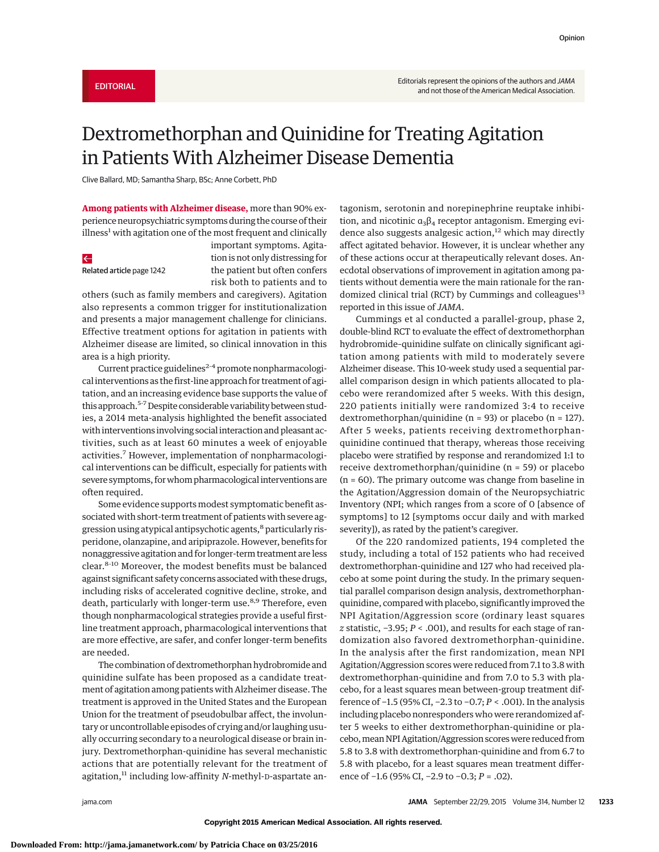## Dextromethorphan and Quinidine for Treating Agitation in Patients With Alzheimer Disease Dementia

Clive Ballard, MD; Samantha Sharp, BSc; Anne Corbett, PhD

**Among patients with Alzheimer disease,** more than 90% experience neuropsychiatric symptoms during the course of their  $\mu$ illness<sup>1</sup> with agitation one of the most frequent and clinically

## $\leftarrow$

Related article page 1242

important symptoms. Agitation is not only distressing for the patient but often confers risk both to patients and to

others (such as family members and caregivers). Agitation also represents a common trigger for institutionalization and presents a major management challenge for clinicians. Effective treatment options for agitation in patients with Alzheimer disease are limited, so clinical innovation in this area is a high priority.

Current practice guidelines<sup>2-4</sup> promote nonpharmacological interventions as the first-line approach for treatment of agitation, and an increasing evidence base supports the value of this approach.<sup>5-7</sup> Despite considerable variability between studies, a 2014 meta-analysis highlighted the benefit associated with interventions involving social interaction and pleasant activities, such as at least 60 minutes a week of enjoyable activities.<sup>7</sup> However, implementation of nonpharmacological interventions can be difficult, especially for patients with severe symptoms, forwhom pharmacological interventions are often required.

Some evidence supports modest symptomatic benefit associated with short-term treatment of patients with severe aggression using atypical antipsychotic agents,<sup>8</sup> particularly risperidone, olanzapine, and aripiprazole. However, benefits for nonaggressive agitation and for longer-term treatment are less clear.8-10 Moreover, the modest benefits must be balanced against significant safety concerns associated with these drugs, including risks of accelerated cognitive decline, stroke, and death, particularly with longer-term use.<sup>8,9</sup> Therefore, even though nonpharmacological strategies provide a useful firstline treatment approach, pharmacological interventions that are more effective, are safer, and confer longer-term benefits are needed.

The combination of dextromethorphan hydrobromide and quinidine sulfate has been proposed as a candidate treatment of agitation among patients with Alzheimer disease. The treatment is approved in the United States and the European Union for the treatment of pseudobulbar affect, the involuntary or uncontrollable episodes of crying and/or laughing usually occurring secondary to a neurological disease or brain injury. Dextromethorphan-quinidine has several mechanistic actions that are potentially relevant for the treatment of agitation,<sup>11</sup> including low-affinity *N*-methyl-D-aspartate antagonism, serotonin and norepinephrine reuptake inhibition, and nicotinic  $a_3\beta_4$  receptor antagonism. Emerging evidence also suggests analgesic action,<sup>12</sup> which may directly affect agitated behavior. However, it is unclear whether any of these actions occur at therapeutically relevant doses. Anecdotal observations of improvement in agitation among patients without dementia were the main rationale for the randomized clinical trial (RCT) by Cummings and colleagues<sup>13</sup> reported in this issue of *JAMA*.

Cummings et al conducted a parallel-group, phase 2, double-blind RCT to evaluate the effect of dextromethorphan hydrobromide–quinidine sulfate on clinically significant agitation among patients with mild to moderately severe Alzheimer disease. This 10-week study used a sequential parallel comparison design in which patients allocated to placebo were rerandomized after 5 weeks. With this design, 220 patients initially were randomized 3:4 to receive dextromethorphan/quinidine (n = 93) or placebo (n = 127). After 5 weeks, patients receiving dextromethorphanquinidine continued that therapy, whereas those receiving placebo were stratified by response and rerandomized 1:1 to receive dextromethorphan/quinidine (n = 59) or placebo (n = 60). The primary outcome was change from baseline in the Agitation/Aggression domain of the Neuropsychiatric Inventory (NPI; which ranges from a score of 0 [absence of symptoms] to 12 [symptoms occur daily and with marked severity]), as rated by the patient's caregiver.

Of the 220 randomized patients, 194 completed the study, including a total of 152 patients who had received dextromethorphan-quinidine and 127 who had received placebo at some point during the study. In the primary sequential parallel comparison design analysis, dextromethorphanquinidine, compared with placebo, significantly improved the NPI Agitation/Aggression score (ordinary least squares *z* statistic, −3.95; *P* < .001), and results for each stage of randomization also favored dextromethorphan-quinidine. In the analysis after the first randomization, mean NPI Agitation/Aggression scores were reduced from 7.1 to 3.8 with dextromethorphan-quinidine and from 7.0 to 5.3 with placebo, for a least squares mean between-group treatment difference of −1.5 (95% CI, −2.3 to −0.7; *P* < .001). In the analysis including placebo nonresponders who were rerandomized after 5 weeks to either dextromethorphan-quinidine or placebo, mean NPI Agitation/Aggression scores were reduced from 5.8 to 3.8 with dextromethorphan-quinidine and from 6.7 to 5.8 with placebo, for a least squares mean treatment difference of −1.6 (95% CI, −2.9 to −0.3; *P* = .02).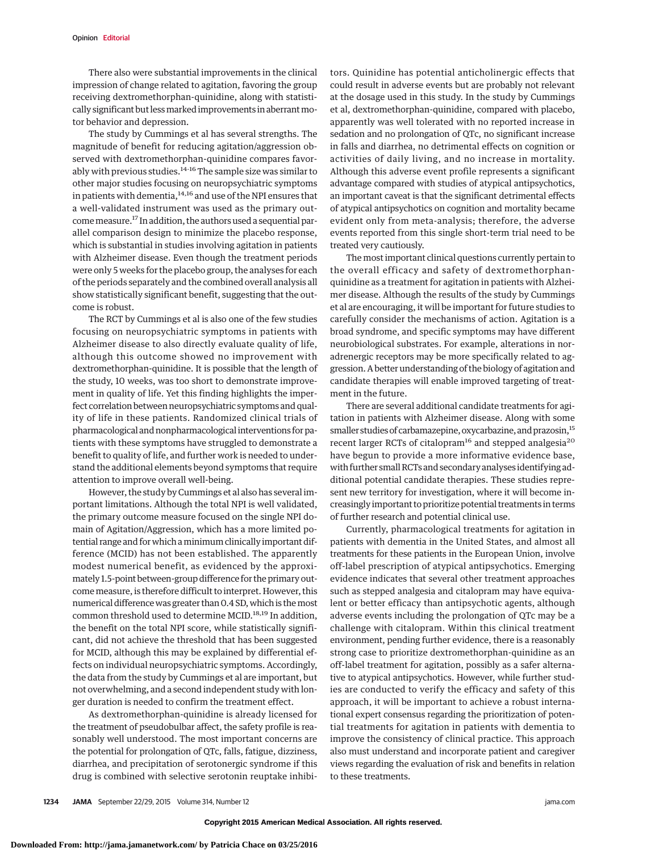There also were substantial improvements in the clinical impression of change related to agitation, favoring the group receiving dextromethorphan-quinidine, along with statistically significant but less marked improvements in aberrant motor behavior and depression.

The study by Cummings et al has several strengths. The magnitude of benefit for reducing agitation/aggression observed with dextromethorphan-quinidine compares favorably with previous studies.<sup>14-16</sup> The sample size was similar to other major studies focusing on neuropsychiatric symptoms in patients with dementia, $14,16$  and use of the NPI ensures that a well-validated instrument was used as the primary outcome measure.<sup>17</sup> In addition, the authors used a sequential parallel comparison design to minimize the placebo response, which is substantial in studies involving agitation in patients with Alzheimer disease. Even though the treatment periods were only 5 weeks for the placebo group, the analyses for each of the periods separately and the combined overall analysis all show statistically significant benefit, suggesting that the outcome is robust.

The RCT by Cummings et al is also one of the few studies focusing on neuropsychiatric symptoms in patients with Alzheimer disease to also directly evaluate quality of life, although this outcome showed no improvement with dextromethorphan-quinidine. It is possible that the length of the study, 10 weeks, was too short to demonstrate improvement in quality of life. Yet this finding highlights the imperfect correlation between neuropsychiatric symptoms and quality of life in these patients. Randomized clinical trials of pharmacological and nonpharmacological interventions for patients with these symptoms have struggled to demonstrate a benefit to quality of life, and further work is needed to understand the additional elements beyond symptoms that require attention to improve overall well-being.

However, the study by Cummings et al also has several important limitations. Although the total NPI is well validated, the primary outcome measure focused on the single NPI domain of Agitation/Aggression, which has a more limited potential range and for which aminimum clinically important difference (MCID) has not been established. The apparently modest numerical benefit, as evidenced by the approximately 1.5-point between-group difference for the primary outcome measure, is therefore difficult to interpret. However, this numerical difference was greater than 0.4 SD, which is the most common threshold used to determine MCID.<sup>18,19</sup> In addition, the benefit on the total NPI score, while statistically significant, did not achieve the threshold that has been suggested for MCID, although this may be explained by differential effects on individual neuropsychiatric symptoms. Accordingly, the data from the study by Cummings et al are important, but not overwhelming, and a second independent study with longer duration is needed to confirm the treatment effect.

As dextromethorphan-quinidine is already licensed for the treatment of pseudobulbar affect, the safety profile is reasonably well understood. The most important concerns are the potential for prolongation of QTc, falls, fatigue, dizziness, diarrhea, and precipitation of serotonergic syndrome if this drug is combined with selective serotonin reuptake inhibitors. Quinidine has potential anticholinergic effects that could result in adverse events but are probably not relevant at the dosage used in this study. In the study by Cummings et al, dextromethorphan-quinidine, compared with placebo, apparently was well tolerated with no reported increase in sedation and no prolongation of QTc, no significant increase in falls and diarrhea, no detrimental effects on cognition or activities of daily living, and no increase in mortality. Although this adverse event profile represents a significant advantage compared with studies of atypical antipsychotics, an important caveat is that the significant detrimental effects of atypical antipsychotics on cognition and mortality became evident only from meta-analysis; therefore, the adverse events reported from this single short-term trial need to be treated very cautiously.

The most important clinical questions currently pertain to the overall efficacy and safety of dextromethorphanquinidine as a treatment for agitation in patients with Alzheimer disease. Although the results of the study by Cummings et al are encouraging, it will be important for future studies to carefully consider the mechanisms of action. Agitation is a broad syndrome, and specific symptoms may have different neurobiological substrates. For example, alterations in noradrenergic receptors may be more specifically related to aggression. A better understanding of the biology of agitation and candidate therapies will enable improved targeting of treatment in the future.

There are several additional candidate treatments for agitation in patients with Alzheimer disease. Along with some smaller studies of carbamazepine, oxycarbazine, and prazosin,<sup>15</sup> recent larger RCTs of citalopram<sup>16</sup> and stepped analgesia<sup>20</sup> have begun to provide a more informative evidence base, with further small RCTs and secondary analyses identifying additional potential candidate therapies. These studies represent new territory for investigation, where it will become increasingly important to prioritize potential treatments in terms of further research and potential clinical use.

Currently, pharmacological treatments for agitation in patients with dementia in the United States, and almost all treatments for these patients in the European Union, involve off-label prescription of atypical antipsychotics. Emerging evidence indicates that several other treatment approaches such as stepped analgesia and citalopram may have equivalent or better efficacy than antipsychotic agents, although adverse events including the prolongation of QTc may be a challenge with citalopram. Within this clinical treatment environment, pending further evidence, there is a reasonably strong case to prioritize dextromethorphan-quinidine as an off-label treatment for agitation, possibly as a safer alternative to atypical antipsychotics. However, while further studies are conducted to verify the efficacy and safety of this approach, it will be important to achieve a robust international expert consensus regarding the prioritization of potential treatments for agitation in patients with dementia to improve the consistency of clinical practice. This approach also must understand and incorporate patient and caregiver views regarding the evaluation of risk and benefits in relation to these treatments.